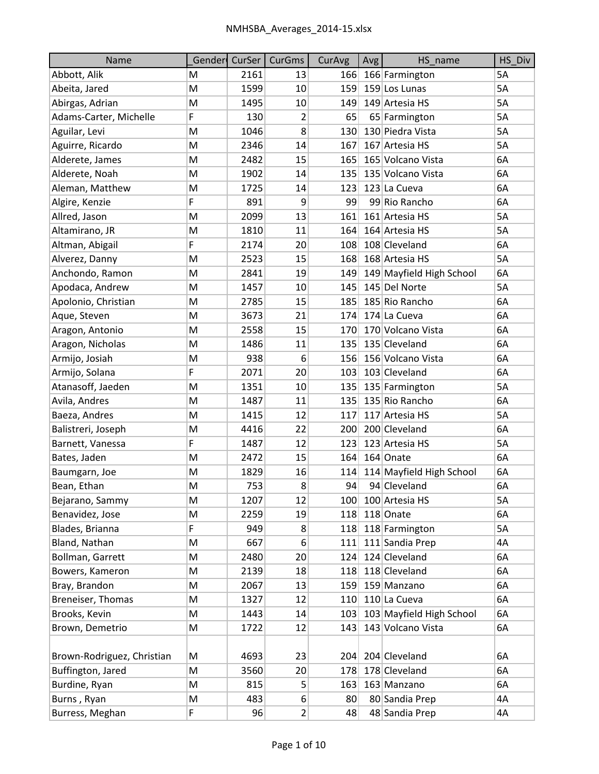| Name                       | Gender | CurSer | <b>CurGms</b>  | CurAvg | Avg | HS_name                  | HS Div    |
|----------------------------|--------|--------|----------------|--------|-----|--------------------------|-----------|
| Abbott, Alik               | M      | 2161   | 13             |        |     | 166 166 Farmington       | 5A        |
| Abeita, Jared              | M      | 1599   | 10             | 159    |     | 159 Los Lunas            | 5A        |
| Abirgas, Adrian            | M      | 1495   | 10             | 149    |     | 149 Artesia HS           | <b>5A</b> |
| Adams-Carter, Michelle     | F      | 130    | 2              | 65     |     | 65 Farmington            | 5A        |
| Aguilar, Levi              | M      | 1046   | 8              | 130    |     | 130 Piedra Vista         | 5A        |
| Aguirre, Ricardo           | M      | 2346   | 14             | 167    |     | 167 Artesia HS           | 5A        |
| Alderete, James            | M      | 2482   | 15             | 165    |     | 165 Volcano Vista        | 6A        |
| Alderete, Noah             | M      | 1902   | 14             | 135    |     | 135 Volcano Vista        | 6A        |
| Aleman, Matthew            | M      | 1725   | 14             | 123    |     | 123 La Cueva             | 6A        |
| Algire, Kenzie             | F      | 891    | 9              | 99     |     | 99 Rio Rancho            | 6A        |
| Allred, Jason              | M      | 2099   | 13             | 161    |     | 161 Artesia HS           | 5A        |
| Altamirano, JR             | M      | 1810   | 11             | 164    |     | 164 Artesia HS           | 5A        |
| Altman, Abigail            | F      | 2174   | 20             | 108    |     | 108 Cleveland            | 6A        |
| Alverez, Danny             | M      | 2523   | 15             | 168    |     | 168 Artesia HS           | 5A        |
| Anchondo, Ramon            | M      | 2841   | 19             | 149    |     | 149 Mayfield High School | 6A        |
| Apodaca, Andrew            | M      | 1457   | 10             | 145    |     | 145 Del Norte            | 5A        |
| Apolonio, Christian        | M      | 2785   | 15             | 185    |     | 185 Rio Rancho           | 6A        |
| Aque, Steven               | M      | 3673   | 21             | 174    |     | 174 La Cueva             | 6A        |
| Aragon, Antonio            | M      | 2558   | 15             | 170    |     | 170 Volcano Vista        | 6A        |
| Aragon, Nicholas           | M      | 1486   | 11             | 135    |     | 135 Cleveland            | 6A        |
| Armijo, Josiah             | M      | 938    | 6              | 156    |     | 156 Volcano Vista        | 6A        |
| Armijo, Solana             | F      | 2071   | 20             | 103    |     | 103 Cleveland            | 6A        |
| Atanasoff, Jaeden          | M      | 1351   | 10             | 135    |     | 135 Farmington           | 5A        |
| Avila, Andres              | M      | 1487   | 11             | 135    |     | 135 Rio Rancho           | 6A        |
| Baeza, Andres              | M      | 1415   | 12             | 117    |     | 117 Artesia HS           | 5A        |
| Balistreri, Joseph         | M      | 4416   | 22             | 200    |     | 200 Cleveland            | 6A        |
| Barnett, Vanessa           | F      | 1487   | 12             | 123    |     | 123 Artesia HS           | 5A        |
| Bates, Jaden               | M      | 2472   | 15             | 164    |     | 164 Onate                | 6A        |
| Baumgarn, Joe              | M      | 1829   | 16             | 114    |     | 114 Mayfield High School | 6A        |
| Bean, Ethan                | M      | 753    | 8              | 94     |     | 94 Cleveland             | 6A        |
| Bejarano, Sammy            | M      | 1207   | 12             | 100    |     | 100 Artesia HS           | 5A        |
| Benavidez, Jose            | M      | 2259   | 19             | 118    |     | 118 Onate                | 6A        |
| Blades, Brianna            | F      | 949    | 8              | 118    |     | 118 Farmington           | 5A        |
| Bland, Nathan              | M      | 667    | 6              | 111    |     | 111 Sandia Prep          | 4A        |
| Bollman, Garrett           | M      | 2480   | 20             | 124    |     | 124 Cleveland            | 6A        |
| Bowers, Kameron            | M      | 2139   | 18             | 118    |     | 118 Cleveland            | 6A        |
| Bray, Brandon              | M      | 2067   | 13             | 159    |     | 159 Manzano              | 6A        |
| Breneiser, Thomas          | M      | 1327   | 12             | 110    |     | 110 La Cueva             | 6A        |
| Brooks, Kevin              | M      | 1443   | 14             | 103    |     | 103 Mayfield High School | 6A        |
| Brown, Demetrio            | M      | 1722   | 12             | 143    |     | 143 Volcano Vista        | 6A        |
|                            |        |        |                |        |     |                          |           |
| Brown-Rodriguez, Christian | M      | 4693   | 23             | 204    |     | 204 Cleveland            | 6A        |
| Buffington, Jared          | M      | 3560   | 20             | 178    |     | 178 Cleveland            | 6A        |
| Burdine, Ryan              | M      | 815    | 5              | 163    |     | 163 Manzano              | 6A        |
| Burns, Ryan                | M      | 483    | 6              | 80     |     | 80 Sandia Prep           | 4А        |
| Burress, Meghan            | F      | 96     | $\overline{2}$ | 48     |     | 48 Sandia Prep           | 4A        |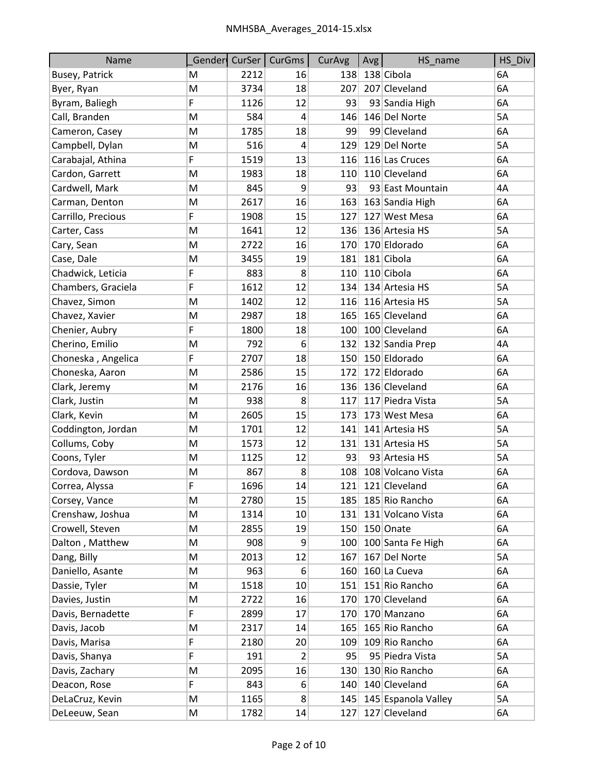| Name                  |   | Gender CurSer | <b>CurGms</b>  | CurAvg | Avg | HS_name             | HS_Div |
|-----------------------|---|---------------|----------------|--------|-----|---------------------|--------|
| <b>Busey, Patrick</b> | M | 2212          | 16             | 138    |     | 138 Cibola          | 6A     |
| Byer, Ryan            | M | 3734          | 18             | 207    |     | 207 Cleveland       | 6A     |
| Byram, Baliegh        | F | 1126          | 12             | 93     |     | 93 Sandia High      | 6A     |
| Call, Branden         | M | 584           | $\overline{4}$ | 146    |     | 146 Del Norte       | 5A     |
| Cameron, Casey        | M | 1785          | 18             | 99     |     | 99 Cleveland        | 6A     |
| Campbell, Dylan       | M | 516           | 4              | 129    |     | 129 Del Norte       | 5A     |
| Carabajal, Athina     | F | 1519          | 13             | 116    |     | 116 Las Cruces      | 6A     |
| Cardon, Garrett       | M | 1983          | 18             | 110    |     | 110 Cleveland       | 6A     |
| Cardwell, Mark        | Μ | 845           | 9              | 93     |     | 93 East Mountain    | 4A     |
| Carman, Denton        | M | 2617          | 16             | 163    |     | 163 Sandia High     | 6A     |
| Carrillo, Precious    | F | 1908          | 15             | 127    |     | 127 West Mesa       | 6A     |
| Carter, Cass          | M | 1641          | 12             | 136    |     | 136 Artesia HS      | 5A     |
| Cary, Sean            | M | 2722          | 16             | 170    |     | 170 Eldorado        | 6A     |
| Case, Dale            | M | 3455          | 19             | 181    |     | 181 Cibola          | 6A     |
| Chadwick, Leticia     | F | 883           | 8              | 110    |     | 110 Cibola          | 6A     |
| Chambers, Graciela    | F | 1612          | 12             | 134    |     | 134 Artesia HS      | 5A     |
| Chavez, Simon         | M | 1402          | 12             | 116    |     | 116 Artesia HS      | 5A     |
| Chavez, Xavier        | M | 2987          | 18             | 165    |     | 165 Cleveland       | 6A     |
| Chenier, Aubry        | F | 1800          | 18             | 100    |     | 100 Cleveland       | 6A     |
| Cherino, Emilio       | M | 792           | 6              | 132    |     | 132 Sandia Prep     | 4A     |
| Choneska, Angelica    | F | 2707          | 18             | 150    |     | 150 Eldorado        | 6A     |
| Choneska, Aaron       | M | 2586          | 15             | 172    |     | 172 Eldorado        | 6A     |
| Clark, Jeremy         | M | 2176          | 16             | 136    |     | 136 Cleveland       | 6A     |
| Clark, Justin         | M | 938           | 8              | 117    |     | 117 Piedra Vista    | 5A     |
| Clark, Kevin          | M | 2605          | 15             | 173    |     | 173 West Mesa       | 6A     |
| Coddington, Jordan    | M | 1701          | 12             | 141    |     | 141 Artesia HS      | 5A     |
| Collums, Coby         | M | 1573          | 12             | 131    |     | 131 Artesia HS      | 5A     |
| Coons, Tyler          | M | 1125          | 12             | 93     |     | 93 Artesia HS       | 5A     |
| Cordova, Dawson       | M | 867           | 8              | 108    |     | 108 Volcano Vista   | 6A     |
| Correa, Alyssa        | F | 1696          | 14             | 121    |     | 121 Cleveland       | 6A     |
| Corsey, Vance         | М | 2780          | 15             | 185    |     | 185 Rio Rancho      | 6A     |
| Crenshaw, Joshua      | M | 1314          | 10             | 131    |     | 131 Volcano Vista   | 6A     |
| Crowell, Steven       | М | 2855          | 19             | 150    |     | 150 Onate           | 6A     |
| Dalton, Matthew       | М | 908           | 9              | 100    |     | 100 Santa Fe High   | 6A     |
| Dang, Billy           | М | 2013          | 12             | 167    |     | 167 Del Norte       | 5A     |
| Daniello, Asante      | М | 963           | 6              | 160    |     | 160 La Cueva        | 6A     |
| Dassie, Tyler         | M | 1518          | 10             | 151    |     | 151 Rio Rancho      | 6A     |
| Davies, Justin        | М | 2722          | 16             | 170    |     | 170 Cleveland       | 6A     |
| Davis, Bernadette     | F | 2899          | 17             | 170    |     | 170 Manzano         | 6A     |
| Davis, Jacob          | M | 2317          | 14             | 165    |     | 165 Rio Rancho      | 6A     |
| Davis, Marisa         | F | 2180          | 20             | 109    |     | 109 Rio Rancho      | 6A     |
| Davis, Shanya         | F | 191           | 2              | 95     |     | 95 Piedra Vista     | 5A     |
| Davis, Zachary        | M | 2095          | 16             | 130    |     | 130 Rio Rancho      | 6A     |
| Deacon, Rose          | F | 843           | 6              | 140    |     | 140 Cleveland       | 6A     |
| DeLaCruz, Kevin       | Μ | 1165          | 8              | 145    |     | 145 Espanola Valley | 5A     |
| DeLeeuw, Sean         | Μ | 1782          | 14             | 127    |     | 127 Cleveland       | 6A     |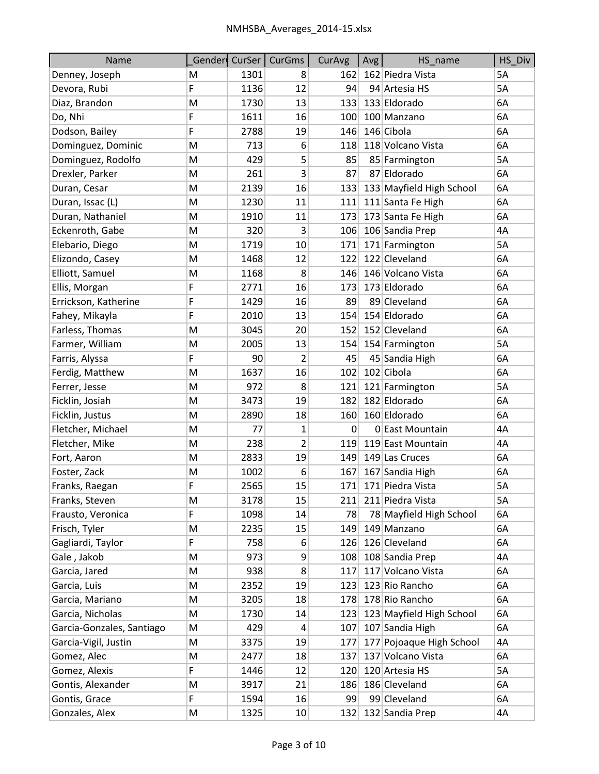| Name                      |    |      | Gender CurSer CurGms | CurAvg      | Avg | HS_name                  | HS_Div |
|---------------------------|----|------|----------------------|-------------|-----|--------------------------|--------|
| Denney, Joseph            | M  | 1301 | 8                    | 162         |     | 162 Piedra Vista         | 5A     |
| Devora, Rubi              | F  | 1136 | 12                   | 94          |     | 94 Artesia HS            | 5A     |
| Diaz, Brandon             | M  | 1730 | 13                   | 133         |     | 133 Eldorado             | 6A     |
| Do, Nhi                   | F  | 1611 | 16                   | 100         |     | 100 Manzano              | 6A     |
| Dodson, Bailey            | F  | 2788 | 19                   | 146         |     | 146 Cibola               | 6A     |
| Dominguez, Dominic        | M  | 713  | 6                    | 118         |     | 118 Volcano Vista        | 6A     |
| Dominguez, Rodolfo        | Μ  | 429  | 5                    | 85          |     | 85 Farmington            | 5A     |
| Drexler, Parker           | М  | 261  | 3                    | 87          |     | 87 Eldorado              | 6A     |
| Duran, Cesar              | M  | 2139 | 16                   | 133         |     | 133 Mayfield High School | 6A     |
| Duran, Issac (L)          | M  | 1230 | 11                   | 111         |     | 111 Santa Fe High        | 6A     |
| Duran, Nathaniel          | M  | 1910 | 11                   | 173         |     | 173 Santa Fe High        | 6A     |
| Eckenroth, Gabe           | M  | 320  | 3                    | 106         |     | 106 Sandia Prep          | 4A     |
| Elebario, Diego           | M  | 1719 | 10                   | 171         |     | 171 Farmington           | 5A     |
| Elizondo, Casey           | Μ  | 1468 | 12                   | 122         |     | 122 Cleveland            | 6A     |
| Elliott, Samuel           | M  | 1168 | 8                    | 146         |     | 146 Volcano Vista        | 6A     |
| Ellis, Morgan             | F  | 2771 | 16                   | 173         |     | 173 Eldorado             | 6A     |
| Errickson, Katherine      | F  | 1429 | 16                   | 89          |     | 89 Cleveland             | 6A     |
| Fahey, Mikayla            | F  | 2010 | 13                   | 154         |     | 154 Eldorado             | 6A     |
| Farless, Thomas           | M  | 3045 | 20                   | 152         |     | 152 Cleveland            | 6A     |
| Farmer, William           | M  | 2005 | 13                   | 154         |     | 154 Farmington           | 5A     |
| Farris, Alyssa            | F  | 90   | 2                    | 45          |     | 45 Sandia High           | 6A     |
| Ferdig, Matthew           | M  | 1637 | 16                   | 102         |     | 102 Cibola               | 6A     |
| Ferrer, Jesse             | M  | 972  | 8                    | 121         |     | 121 Farmington           | 5A     |
| Ficklin, Josiah           | M  | 3473 | 19                   | 182         |     | 182 Eldorado             | 6A     |
| Ficklin, Justus           | M  | 2890 | 18                   | 160         |     | 160 Eldorado             | 6A     |
| Fletcher, Michael         | M  | 77   | 1                    | $\mathbf 0$ |     | 0 East Mountain          | 4A     |
| Fletcher, Mike            | M  | 238  | $\overline{2}$       | 119         |     | 119 East Mountain        | 4A     |
| Fort, Aaron               | Μ  | 2833 | 19                   | 149         |     | 149 Las Cruces           | 6A     |
| Foster, Zack              | M  | 1002 | 6                    | 167         |     | 167 Sandia High          | 6A     |
| Franks, Raegan            | F  | 2565 | 15                   | 171         |     | 171 Piedra Vista         | 5A     |
| Franks, Steven            | M  | 3178 | 15                   | 211         |     | 211 Piedra Vista         | 5A     |
| Frausto, Veronica         | F  | 1098 | 14                   | 78          |     | 78 Mayfield High School  | 6A     |
| Frisch, Tyler             | Μ  | 2235 | 15                   | 149         |     | 149 Manzano              | 6A     |
| Gagliardi, Taylor         | F  | 758  | 6                    | 126         |     | 126 Cleveland            | 6A     |
| Gale, Jakob               | Μ  | 973  | 9                    | 108         |     | 108 Sandia Prep          | 4A     |
| Garcia, Jared             | M  | 938  | 8                    | 117         |     | 117 Volcano Vista        | 6A     |
| Garcia, Luis              | M  | 2352 | 19                   | 123         |     | 123 Rio Rancho           | 6A     |
| Garcia, Mariano           | M  | 3205 | 18                   | 178         |     | 178 Rio Rancho           | 6A     |
| Garcia, Nicholas          | M  | 1730 | 14                   | 123         |     | 123 Mayfield High School | 6A     |
| Garcia-Gonzales, Santiago | M  | 429  | 4                    | 107         |     | 107 Sandia High          | 6A     |
| Garcia-Vigil, Justin      | M  | 3375 | 19                   | 177         |     | 177 Pojoaque High School | 4A     |
| Gomez, Alec               | Μ  | 2477 | 18                   | 137         |     | 137 Volcano Vista        | 6A     |
| Gomez, Alexis             | F  | 1446 | 12                   | 120         |     | 120 Artesia HS           | 5A     |
| Gontis, Alexander         | Μ  | 3917 | 21                   | 186         |     | 186 Cleveland            | 6A     |
| Gontis, Grace             | F. | 1594 | 16                   | 99          |     | 99 Cleveland             | 6A     |
| Gonzales, Alex            | M  | 1325 | 10                   | 132         |     | 132 Sandia Prep          | 4A     |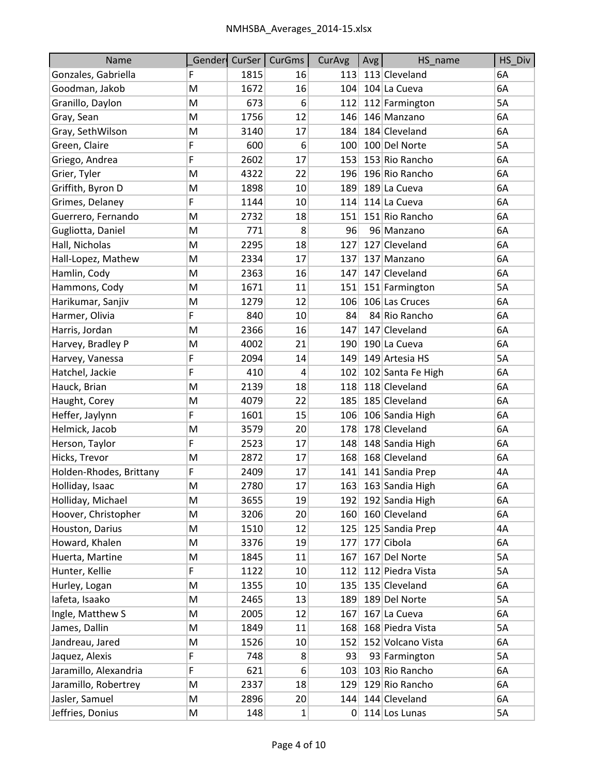| Name                    |   | Gender CurSer | <b>CurGms</b> | CurAvg | Avg | HS name           | HS_Div |
|-------------------------|---|---------------|---------------|--------|-----|-------------------|--------|
| Gonzales, Gabriella     | F | 1815          | 16            | 113    |     | 113 Cleveland     | 6A     |
| Goodman, Jakob          | M | 1672          | 16            | 104    |     | 104 La Cueva      | 6A     |
| Granillo, Daylon        | м | 673           | 6             | 112    |     | 112 Farmington    | 5A     |
| Gray, Sean              | M | 1756          | 12            | 146    |     | 146 Manzano       | 6A     |
| Gray, SethWilson        | M | 3140          | 17            | 184    |     | 184 Cleveland     | 6A     |
| Green, Claire           | F | 600           | 6             | 100    |     | 100 Del Norte     | 5A     |
| Griego, Andrea          | F | 2602          | 17            | 153    |     | 153 Rio Rancho    | 6A     |
| Grier, Tyler            | M | 4322          | 22            | 196    |     | 196 Rio Rancho    | 6A     |
| Griffith, Byron D       | M | 1898          | 10            | 189    |     | 189 La Cueva      | 6A     |
| Grimes, Delaney         | F | 1144          | 10            | 114    |     | 114 La Cueva      | 6A     |
| Guerrero, Fernando      | M | 2732          | 18            | 151    |     | 151 Rio Rancho    | 6A     |
| Gugliotta, Daniel       | M | 771           | 8             | 96     |     | 96 Manzano        | 6A     |
| Hall, Nicholas          | M | 2295          | 18            | 127    |     | 127 Cleveland     | 6A     |
| Hall-Lopez, Mathew      | M | 2334          | 17            | 137    |     | 137 Manzano       | 6A     |
| Hamlin, Cody            | м | 2363          | 16            | 147    |     | 147 Cleveland     | 6A     |
| Hammons, Cody           | M | 1671          | 11            | 151    |     | 151 Farmington    | 5A     |
| Harikumar, Sanjiv       | M | 1279          | 12            | 106    |     | 106 Las Cruces    | 6A     |
| Harmer, Olivia          | F | 840           | 10            | 84     |     | 84 Rio Rancho     | 6A     |
| Harris, Jordan          | M | 2366          | 16            | 147    |     | 147 Cleveland     | 6A     |
| Harvey, Bradley P       | M | 4002          | 21            | 190    |     | 190 La Cueva      | 6A     |
| Harvey, Vanessa         | F | 2094          | 14            | 149    |     | 149 Artesia HS    | 5A     |
| Hatchel, Jackie         | F | 410           | 4             | 102    |     | 102 Santa Fe High | 6A     |
| Hauck, Brian            | M | 2139          | 18            | 118    |     | 118 Cleveland     | 6A     |
| Haught, Corey           | M | 4079          | 22            | 185    |     | 185 Cleveland     | 6A     |
| Heffer, Jaylynn         | F | 1601          | 15            | 106    |     | 106 Sandia High   | 6A     |
| Helmick, Jacob          | M | 3579          | 20            | 178    |     | 178 Cleveland     | 6A     |
| Herson, Taylor          | F | 2523          | 17            | 148    |     | 148 Sandia High   | 6A     |
| Hicks, Trevor           | M | 2872          | 17            | 168    |     | 168 Cleveland     | 6A     |
| Holden-Rhodes, Brittany | F | 2409          | 17            | 141    |     | 141 Sandia Prep   | 4A     |
| Holliday, Isaac         | M | 2780          | 17            | 163    |     | 163 Sandia High   | 6A     |
| Holliday, Michael       | M | 3655          | 19            | 192    |     | 192 Sandia High   | 6A     |
| Hoover, Christopher     | M | 3206          | 20            | 160    |     | 160 Cleveland     | 6A     |
| Houston, Darius         | М | 1510          | 12            | 125    |     | 125 Sandia Prep   | 4A     |
| Howard, Khalen          | М | 3376          | 19            | 177    |     | 177 Cibola        | 6A     |
| Huerta, Martine         | Μ | 1845          | 11            | 167    |     | 167 Del Norte     | 5A     |
| Hunter, Kellie          | F | 1122          | 10            | 112    |     | 112 Piedra Vista  | 5A     |
| Hurley, Logan           | M | 1355          | 10            | 135    |     | 135 Cleveland     | 6A     |
| lafeta, Isaako          | М | 2465          | 13            | 189    |     | 189 Del Norte     | 5A     |
| Ingle, Matthew S        | M | 2005          | 12            | 167    |     | 167 La Cueva      | 6A     |
| James, Dallin           | Μ | 1849          | 11            | 168    |     | 168 Piedra Vista  | 5A     |
| Jandreau, Jared         | M | 1526          | 10            | 152    |     | 152 Volcano Vista | 6A     |
| Jaquez, Alexis          | F | 748           | 8             | 93     |     | 93 Farmington     | 5A     |
| Jaramillo, Alexandria   | F | 621           | 6             | 103    |     | 103 Rio Rancho    | 6A     |
| Jaramillo, Robertrey    | M | 2337          | 18            | 129    |     | 129 Rio Rancho    | 6A     |
| Jasler, Samuel          | Μ | 2896          | 20            | 144    |     | 144 Cleveland     | 6A     |
| Jeffries, Donius        | M | 148           | $1\vert$      | 0      |     | 114 Los Lunas     | 5A     |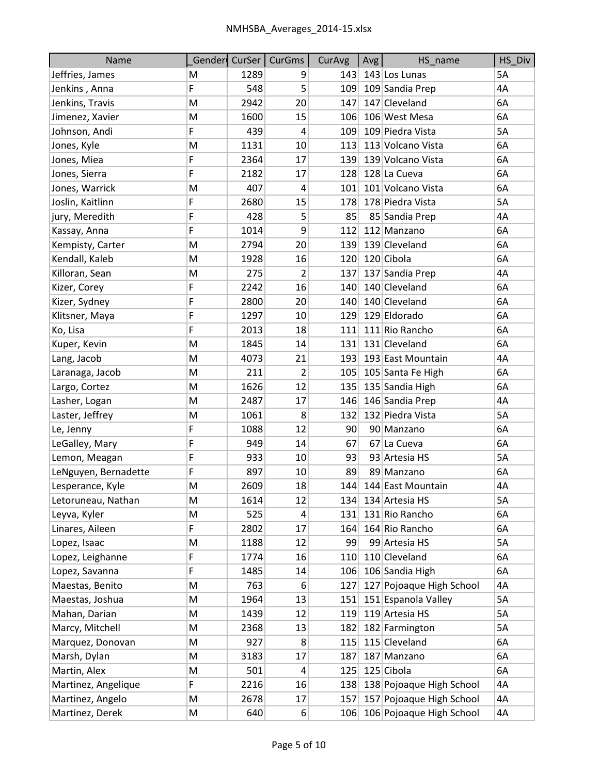| Name                 |   | Gender CurSer | CurGms         | CurAvg | Avg | HS_name                  | HS_Div |
|----------------------|---|---------------|----------------|--------|-----|--------------------------|--------|
| Jeffries, James      | M | 1289          | 9              | 143    |     | 143 Los Lunas            | 5A     |
| Jenkins, Anna        | F | 548           | 5 <sup>1</sup> | 109    |     | 109 Sandia Prep          | 4A     |
| Jenkins, Travis      | M | 2942          | 20             | 147    |     | 147 Cleveland            | 6A     |
| Jimenez, Xavier      | M | 1600          | 15             | 106    |     | 106 West Mesa            | 6A     |
| Johnson, Andi        | F | 439           | $\overline{4}$ | 109    |     | 109 Piedra Vista         | 5A     |
| Jones, Kyle          | M | 1131          | 10             | 113    |     | 113 Volcano Vista        | 6A     |
| Jones, Miea          | F | 2364          | 17             | 139    |     | 139 Volcano Vista        | 6A     |
| Jones, Sierra        | F | 2182          | 17             | 128    |     | 128 La Cueva             | 6A     |
| Jones, Warrick       | M | 407           | $\overline{4}$ | 101    |     | 101 Volcano Vista        | 6A     |
| Joslin, Kaitlinn     | F | 2680          | 15             | 178    |     | 178 Piedra Vista         | 5A     |
| jury, Meredith       | F | 428           | 5              | 85     |     | 85 Sandia Prep           | 4A     |
| Kassay, Anna         | F | 1014          | 9              | 112    |     | 112 Manzano              | 6A     |
| Kempisty, Carter     | M | 2794          | 20             | 139    |     | 139 Cleveland            | 6A     |
| Kendall, Kaleb       | M | 1928          | 16             | 120    |     | 120 Cibola               | 6A     |
| Killoran, Sean       | M | 275           | $\overline{2}$ | 137    |     | 137 Sandia Prep          | 4A     |
| Kizer, Corey         | F | 2242          | 16             | 140    |     | 140 Cleveland            | 6A     |
| Kizer, Sydney        | F | 2800          | 20             | 140    |     | 140 Cleveland            | 6A     |
| Klitsner, Maya       | F | 1297          | 10             | 129    |     | 129 Eldorado             | 6A     |
| Ko, Lisa             | F | 2013          | 18             | 111    |     | 111 Rio Rancho           | 6A     |
| Kuper, Kevin         | M | 1845          | 14             | 131    |     | 131 Cleveland            | 6A     |
| Lang, Jacob          | M | 4073          | 21             | 193    |     | 193 East Mountain        | 4A     |
| Laranaga, Jacob      | M | 211           | 2              | 105    |     | 105 Santa Fe High        | 6A     |
| Largo, Cortez        | M | 1626          | 12             | 135    |     | 135 Sandia High          | 6A     |
| Lasher, Logan        | M | 2487          | 17             | 146    |     | 146 Sandia Prep          | 4A     |
| Laster, Jeffrey      | M | 1061          | 8              | 132    |     | 132 Piedra Vista         | 5A     |
| Le, Jenny            | F | 1088          | 12             | 90     |     | 90 Manzano               | 6A     |
| LeGalley, Mary       | F | 949           | 14             | 67     |     | 67 La Cueva              | 6A     |
| Lemon, Meagan        | F | 933           | 10             | 93     |     | 93 Artesia HS            | 5A     |
| LeNguyen, Bernadette | F | 897           | 10             | 89     |     | 89 Manzano               | 6A     |
| Lesperance, Kyle     | M | 2609          | 18             | 144    |     | 144 East Mountain        | 4A     |
| Letoruneau, Nathan   | М | 1614          | 12             | 134    |     | 134 Artesia HS           | 5A     |
| Leyva, Kyler         | M | 525           | 4              | 131    |     | 131 Rio Rancho           | 6A     |
| Linares, Aileen      | F | 2802          | 17             | 164    |     | 164 Rio Rancho           | 6A     |
| Lopez, Isaac         | Μ | 1188          | 12             | 99     |     | 99 Artesia HS            | 5A     |
| Lopez, Leighanne     | F | 1774          | 16             | 110    |     | 110 Cleveland            | 6A     |
| Lopez, Savanna       | F | 1485          | 14             | 106    |     | 106 Sandia High          | 6A     |
| Maestas, Benito      | M | 763           | 6              | 127    |     | 127 Pojoaque High School | 4A     |
| Maestas, Joshua      | М | 1964          | 13             | 151    |     | 151 Espanola Valley      | 5A     |
| Mahan, Darian        | М | 1439          | 12             | 119    |     | 119 Artesia HS           | 5А     |
| Marcy, Mitchell      | M | 2368          | 13             | 182    |     | 182 Farmington           | 5A     |
| Marquez, Donovan     | М | 927           | 8              | 115    |     | 115 Cleveland            | 6A     |
| Marsh, Dylan         | Μ | 3183          | 17             | 187    |     | 187 Manzano              | 6A     |
| Martin, Alex         | Μ | 501           | $\overline{4}$ | 125    |     | 125 Cibola               | 6A     |
| Martinez, Angelique  | F | 2216          | 16             | 138    |     | 138 Pojoaque High School | 4A     |
| Martinez, Angelo     | Μ | 2678          | 17             | 157    |     | 157 Pojoaque High School | 4A     |
| Martinez, Derek      | M | 640           | $6 \mid$       | 106    |     | 106 Pojoaque High School | 4A     |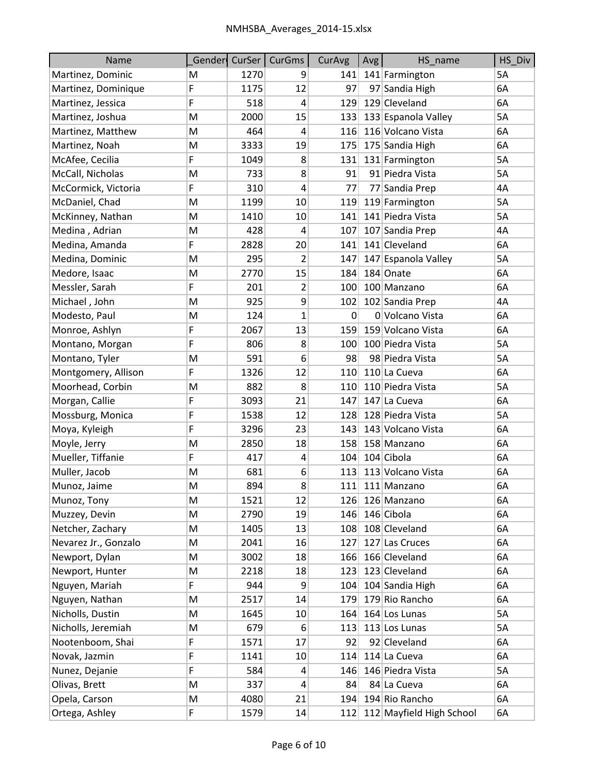| Name                 |   | Gender CurSer | CurGms                  | CurAvg | Avg | HS_name                  | HS_Div |
|----------------------|---|---------------|-------------------------|--------|-----|--------------------------|--------|
| Martinez, Dominic    | M | 1270          | 9                       | 141    |     | 141 Farmington           | 5A     |
| Martinez, Dominique  | F | 1175          | 12                      | 97     |     | 97 Sandia High           | 6A     |
| Martinez, Jessica    | F | 518           | $\overline{4}$          | 129    |     | 129 Cleveland            | 6A     |
| Martinez, Joshua     | M | 2000          | 15                      | 133    |     | 133 Espanola Valley      | 5A     |
| Martinez, Matthew    | M | 464           | 4                       | 116    |     | 116 Volcano Vista        | 6A     |
| Martinez, Noah       | M | 3333          | 19                      | 175    |     | 175 Sandia High          | 6A     |
| McAfee, Cecilia      | F | 1049          | 8                       | 131    |     | 131 Farmington           | 5A     |
| McCall, Nicholas     | M | 733           | 8                       | 91     |     | 91 Piedra Vista          | 5A     |
| McCormick, Victoria  | F | 310           | $\overline{4}$          | 77     |     | 77 Sandia Prep           | 4A     |
| McDaniel, Chad       | M | 1199          | 10                      | 119    |     | 119 Farmington           | 5A     |
| McKinney, Nathan     | M | 1410          | 10                      | 141    |     | 141 Piedra Vista         | 5A     |
| Medina, Adrian       | M | 428           | 4                       | 107    |     | 107 Sandia Prep          | 4A     |
| Medina, Amanda       | F | 2828          | 20                      | 141    |     | 141 Cleveland            | 6A     |
| Medina, Dominic      | Μ | 295           | 2                       | 147    |     | 147 Espanola Valley      | 5A     |
| Medore, Isaac        | M | 2770          | 15                      | 184    |     | 184 Onate                | 6A     |
| Messler, Sarah       | F | 201           | 2                       | 100    |     | 100 Manzano              | 6A     |
| Michael, John        | M | 925           | 9                       | 102    |     | 102 Sandia Prep          | 4A     |
| Modesto, Paul        | M | 124           | $\mathbf{1}$            | 0      |     | 0 Volcano Vista          | 6A     |
| Monroe, Ashlyn       | F | 2067          | 13                      | 159    |     | 159 Volcano Vista        | 6A     |
| Montano, Morgan      | F | 806           | 8                       | 100    |     | 100 Piedra Vista         | 5A     |
| Montano, Tyler       | Μ | 591           | 6                       | 98     |     | 98 Piedra Vista          | 5A     |
| Montgomery, Allison  | F | 1326          | 12                      | 110    |     | 110 La Cueva             | 6A     |
| Moorhead, Corbin     | M | 882           | 8                       | 110    |     | 110 Piedra Vista         | 5A     |
| Morgan, Callie       | F | 3093          | 21                      | 147    |     | 147 La Cueva             | 6A     |
| Mossburg, Monica     | F | 1538          | 12                      | 128    |     | 128 Piedra Vista         | 5A     |
| Moya, Kyleigh        | F | 3296          | 23                      | 143    |     | 143 Volcano Vista        | 6A     |
| Moyle, Jerry         | M | 2850          | 18                      | 158    |     | 158 Manzano              | 6A     |
| Mueller, Tiffanie    | F | 417           | $\overline{\mathbf{r}}$ | 104    |     | 104 Cibola               | 6A     |
| Muller, Jacob        | M | 681           | 6                       | 113    |     | 113 Volcano Vista        | 6A     |
| Munoz, Jaime         | M | 894           | 8                       | 111    |     | 111 Manzano              | 6A     |
| Munoz, Tony          | Μ | 1521          | 12                      | 126    |     | 126 Manzano              | 6A     |
| Muzzey, Devin        | M | 2790          | 19                      | 146    |     | 146 Cibola               | 6A     |
| Netcher, Zachary     | Μ | 1405          | 13                      | 108    |     | 108 Cleveland            | 6A     |
| Nevarez Jr., Gonzalo | M | 2041          | 16                      | 127    |     | 127 Las Cruces           | 6A     |
| Newport, Dylan       | M | 3002          | 18                      | 166    |     | 166 Cleveland            | 6A     |
| Newport, Hunter      | M | 2218          | 18                      | 123    |     | 123 Cleveland            | 6A     |
| Nguyen, Mariah       | F | 944           | 9                       | 104    |     | 104 Sandia High          | 6A     |
| Nguyen, Nathan       | Μ | 2517          | 14                      | 179    |     | 179 Rio Rancho           | 6A     |
| Nicholls, Dustin     | M | 1645          | 10                      | 164    |     | 164 Los Lunas            | 5A     |
| Nicholls, Jeremiah   | Μ | 679           | 6                       | 113    |     | 113 Los Lunas            | 5A     |
| Nootenboom, Shai     | F | 1571          | 17                      | 92     |     | 92 Cleveland             | 6A     |
| Novak, Jazmin        | F | 1141          | 10                      | 114    |     | 114 La Cueva             | 6A     |
| Nunez, Dejanie       | F | 584           | $\overline{4}$          | 146    |     | 146 Piedra Vista         | 5A     |
| Olivas, Brett        | M | 337           | $\overline{a}$          | 84     |     | 84 La Cueva              | 6A     |
| Opela, Carson        | M | 4080          | 21                      | 194    |     | 194 Rio Rancho           | 6A     |
| Ortega, Ashley       | F | 1579          | 14                      | 112    |     | 112 Mayfield High School | 6A     |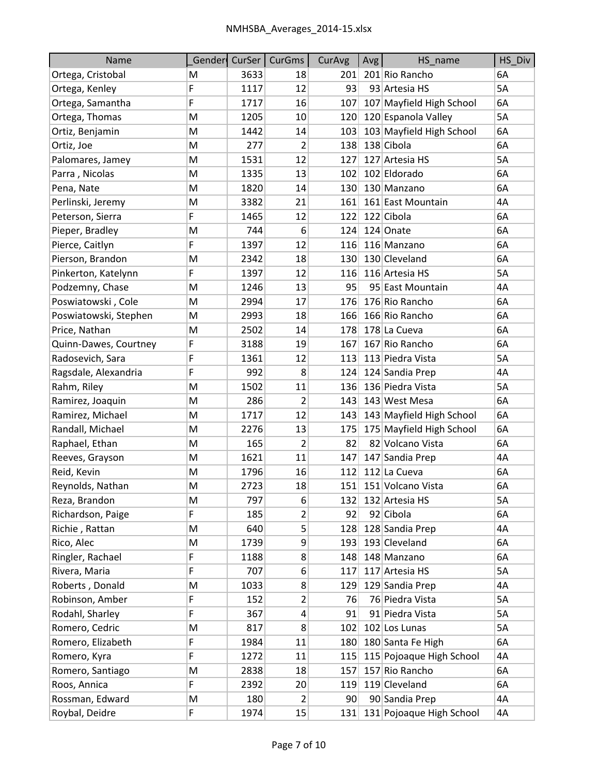| Name                  |    |      | Gender CurSer   CurGms | CurAvg | Avg | HS_name                  | HS_Div    |
|-----------------------|----|------|------------------------|--------|-----|--------------------------|-----------|
| Ortega, Cristobal     | м  | 3633 | 18                     | 201    |     | 201 Rio Rancho           | 6A        |
| Ortega, Kenley        | F  | 1117 | 12                     | 93     |     | 93 Artesia HS            | <b>5A</b> |
| Ortega, Samantha      | F  | 1717 | 16                     | 107    |     | 107 Mayfield High School | 6A        |
| Ortega, Thomas        | M  | 1205 | 10                     | 120    |     | 120 Espanola Valley      | 5A        |
| Ortiz, Benjamin       | M  | 1442 | 14                     | 103    |     | 103 Mayfield High School | 6A        |
| Ortiz, Joe            | M  | 277  | 2                      | 138    |     | 138 Cibola               | 6A        |
| Palomares, Jamey      | Μ  | 1531 | 12                     | 127    |     | 127 Artesia HS           | 5A        |
| Parra, Nicolas        | M  | 1335 | 13                     | 102    |     | 102 Eldorado             | 6A        |
| Pena, Nate            | Μ  | 1820 | 14                     | 130    |     | 130 Manzano              | 6A        |
| Perlinski, Jeremy     | Μ  | 3382 | 21                     | 161    |     | 161 East Mountain        | 4A        |
| Peterson, Sierra      | F  | 1465 | 12                     | 122    |     | 122 Cibola               | 6A        |
| Pieper, Bradley       | Μ  | 744  | 6                      | 124    |     | 124 Onate                | 6A        |
| Pierce, Caitlyn       | F  | 1397 | 12                     | 116    |     | 116 Manzano              | 6A        |
| Pierson, Brandon      | Μ  | 2342 | 18                     | 130    |     | 130 Cleveland            | 6A        |
| Pinkerton, Katelynn   | F  | 1397 | 12                     | 116    |     | 116 Artesia HS           | 5A        |
| Podzemny, Chase       | M  | 1246 | 13                     | 95     |     | 95 East Mountain         | 4A        |
| Poswiatowski, Cole    | м  | 2994 | 17                     | 176    |     | 176 Rio Rancho           | 6A        |
| Poswiatowski, Stephen | M  | 2993 | 18                     | 166    |     | 166 Rio Rancho           | 6A        |
| Price, Nathan         | Μ  | 2502 | 14                     | 178    |     | 178 La Cueva             | 6A        |
| Quinn-Dawes, Courtney | F  | 3188 | 19                     | 167    |     | 167 Rio Rancho           | 6A        |
| Radosevich, Sara      | F  | 1361 | 12                     | 113    |     | 113 Piedra Vista         | 5A        |
| Ragsdale, Alexandria  | F  | 992  | 8                      | 124    |     | 124 Sandia Prep          | 4A        |
| Rahm, Riley           | M  | 1502 | 11                     | 136    |     | 136 Piedra Vista         | 5A        |
| Ramirez, Joaquin      | Μ  | 286  | 2                      | 143    |     | 143 West Mesa            | 6A        |
| Ramirez, Michael      | M  | 1717 | 12                     | 143    |     | 143 Mayfield High School | 6A        |
| Randall, Michael      | Μ  | 2276 | 13                     | 175    |     | 175 Mayfield High School | 6A        |
| Raphael, Ethan        | M  | 165  | 2                      | 82     |     | 82 Volcano Vista         | 6A        |
| Reeves, Grayson       | M  | 1621 | 11                     | 147    |     | 147 Sandia Prep          | 4A        |
| Reid, Kevin           | M  | 1796 | 16                     | 112    |     | 112 La Cueva             | 6A        |
| Reynolds, Nathan      | M  | 2723 | 18                     | 151    |     | 151 Volcano Vista        | 6A        |
| Reza, Brandon         | M  | 797  | 6                      | 132    |     | 132 Artesia HS           | 5A        |
| Richardson, Paige     | F. | 185  | 2                      | 92     |     | 92 Cibola                | 6A        |
| Richie, Rattan        | М  | 640  | 5                      | 128    |     | 128 Sandia Prep          | 4A        |
| Rico, Alec            | M  | 1739 | 9                      | 193    |     | 193 Cleveland            | 6A        |
| Ringler, Rachael      | F  | 1188 | 8                      | 148    |     | 148 Manzano              | 6A        |
| Rivera, Maria         | F  | 707  | 6                      | 117    |     | 117 Artesia HS           | 5A        |
| Roberts, Donald       | M  | 1033 | 8                      | 129    |     | 129 Sandia Prep          | 4A        |
| Robinson, Amber       | F  | 152  | 2                      | 76     |     | 76 Piedra Vista          | 5A        |
| Rodahl, Sharley       | F  | 367  | $\overline{a}$         | 91     |     | 91 Piedra Vista          | 5A        |
| Romero, Cedric        | M  | 817  | 8                      | 102    |     | 102 Los Lunas            | 5A        |
| Romero, Elizabeth     | F  | 1984 | 11                     | 180    |     | 180 Santa Fe High        | 6A        |
| Romero, Kyra          | F  | 1272 | 11                     | 115    |     | 115 Pojoaque High School | 4A        |
| Romero, Santiago      | M  | 2838 | 18                     | 157    |     | 157 Rio Rancho           | 6A        |
| Roos, Annica          | F. | 2392 | 20                     | 119    |     | 119 Cleveland            | 6A        |
| Rossman, Edward       | M  | 180  | $\overline{2}$         | 90     |     | 90 Sandia Prep           | 4А        |
| Roybal, Deidre        | F  | 1974 | 15                     | 131    |     | 131 Pojoaque High School | 4A        |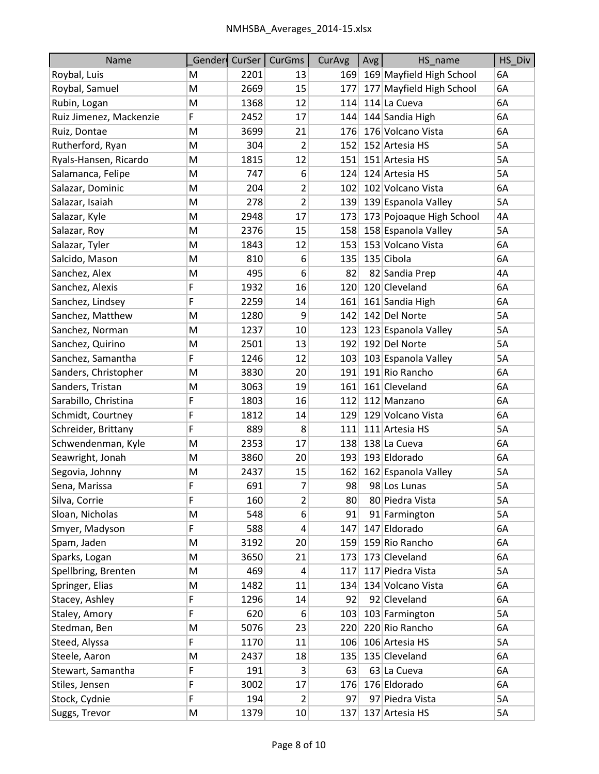| Name                    |   | Gender CurSer | <b>CurGms</b>           | CurAvg | Avg | HS name                  | HS_Div    |
|-------------------------|---|---------------|-------------------------|--------|-----|--------------------------|-----------|
| Roybal, Luis            | Μ | 2201          | 13                      | 169    |     | 169 Mayfield High School | 6A        |
| Roybal, Samuel          | M | 2669          | 15                      | 177    |     | 177 Mayfield High School | 6A        |
| Rubin, Logan            | M | 1368          | 12                      | 114    |     | 114 La Cueva             | 6A        |
| Ruiz Jimenez, Mackenzie | F | 2452          | 17                      | 144    |     | 144 Sandia High          | 6A        |
| Ruiz, Dontae            | Μ | 3699          | 21                      | 176    |     | 176 Volcano Vista        | 6A        |
| Rutherford, Ryan        | M | 304           | $\overline{2}$          | 152    |     | 152 Artesia HS           | <b>5A</b> |
| Ryals-Hansen, Ricardo   | M | 1815          | 12                      | 151    |     | 151 Artesia HS           | 5A        |
| Salamanca, Felipe       | Μ | 747           | 6                       | 124    |     | 124 Artesia HS           | 5A        |
| Salazar, Dominic        | M | 204           | $\overline{\mathbf{c}}$ | 102    |     | 102 Volcano Vista        | 6A        |
| Salazar, Isaiah         | Μ | 278           | 2                       | 139    |     | 139 Espanola Valley      | 5A        |
| Salazar, Kyle           | M | 2948          | 17                      | 173    |     | 173 Pojoaque High School | 4A        |
| Salazar, Roy            | Μ | 2376          | 15                      | 158    |     | 158 Espanola Valley      | 5A        |
| Salazar, Tyler          | М | 1843          | 12                      | 153    |     | 153 Volcano Vista        | 6A        |
| Salcido, Mason          | Μ | 810           | 6                       | 135    |     | 135 Cibola               | 6A        |
| Sanchez, Alex           | M | 495           | 6                       | 82     |     | 82 Sandia Prep           | 4A        |
| Sanchez, Alexis         | F | 1932          | 16                      | 120    |     | 120 Cleveland            | 6A        |
| Sanchez, Lindsey        | F | 2259          | 14                      | 161    |     | 161 Sandia High          | 6A        |
| Sanchez, Matthew        | M | 1280          | 9                       | 142    |     | 142 Del Norte            | 5A        |
| Sanchez, Norman         | M | 1237          | 10                      | 123    |     | 123 Espanola Valley      | 5A        |
| Sanchez, Quirino        | Μ | 2501          | 13                      | 192    |     | 192 Del Norte            | <b>5A</b> |
| Sanchez, Samantha       | F | 1246          | 12                      | 103    |     | 103 Espanola Valley      | 5A        |
| Sanders, Christopher    | Μ | 3830          | 20                      | 191    |     | 191 Rio Rancho           | 6A        |
| Sanders, Tristan        | M | 3063          | 19                      | 161    |     | 161 Cleveland            | 6A        |
| Sarabillo, Christina    | F | 1803          | 16                      | 112    |     | 112 Manzano              | 6A        |
| Schmidt, Courtney       | F | 1812          | 14                      | 129    |     | 129 Volcano Vista        | 6A        |
| Schreider, Brittany     | F | 889           | 8                       | 111    |     | 111 Artesia HS           | 5A        |
| Schwendenman, Kyle      | Μ | 2353          | 17                      | 138    |     | 138 La Cueva             | 6A        |
| Seawright, Jonah        | M | 3860          | 20                      | 193    |     | 193 Eldorado             | 6A        |
| Segovia, Johnny         | M | 2437          | 15                      | 162    |     | 162 Espanola Valley      | 5A        |
| Sena, Marissa           | F | 691           | 7                       | 98     |     | 98 Los Lunas             | 5A        |
| Silva, Corrie           | F | 160           | $\overline{2}$          | 80     |     | 80 Piedra Vista          | 5A        |
| Sloan, Nicholas         | M | 548           | 6                       | 91     |     | 91 Farmington            | 5A        |
| Smyer, Madyson          | F | 588           | $\overline{\mathbf{r}}$ | 147    |     | 147 Eldorado             | 6A        |
| Spam, Jaden             | Μ | 3192          | 20                      | 159    |     | 159 Rio Rancho           | 6A        |
| Sparks, Logan           | M | 3650          | 21                      | 173    |     | 173 Cleveland            | 6A        |
| Spellbring, Brenten     | Μ | 469           | $\overline{4}$          | 117    |     | 117 Piedra Vista         | 5A        |
| Springer, Elias         | M | 1482          | 11                      | 134    |     | 134 Volcano Vista        | 6A        |
| Stacey, Ashley          | F | 1296          | 14                      | 92     |     | 92 Cleveland             | 6A        |
| Staley, Amory           | F | 620           | 6                       | 103    |     | 103 Farmington           | 5A        |
| Stedman, Ben            | M | 5076          | 23                      | 220    |     | 220 Rio Rancho           | 6A        |
| Steed, Alyssa           | F | 1170          | 11                      | 106    |     | 106 Artesia HS           | 5A        |
| Steele, Aaron           | M | 2437          | 18                      | 135    |     | 135 Cleveland            | 6A        |
| Stewart, Samantha       | F | 191           | $\vert 3 \vert$         | 63     |     | 63 La Cueva              | 6A        |
| Stiles, Jensen          | F | 3002          | 17                      | 176    |     | 176 Eldorado             | 6A        |
| Stock, Cydnie           | F | 194           | 2                       | 97     |     | 97 Piedra Vista          | 5A        |
| Suggs, Trevor           | M | 1379          | 10                      | 137    |     | 137 Artesia HS           | 5A        |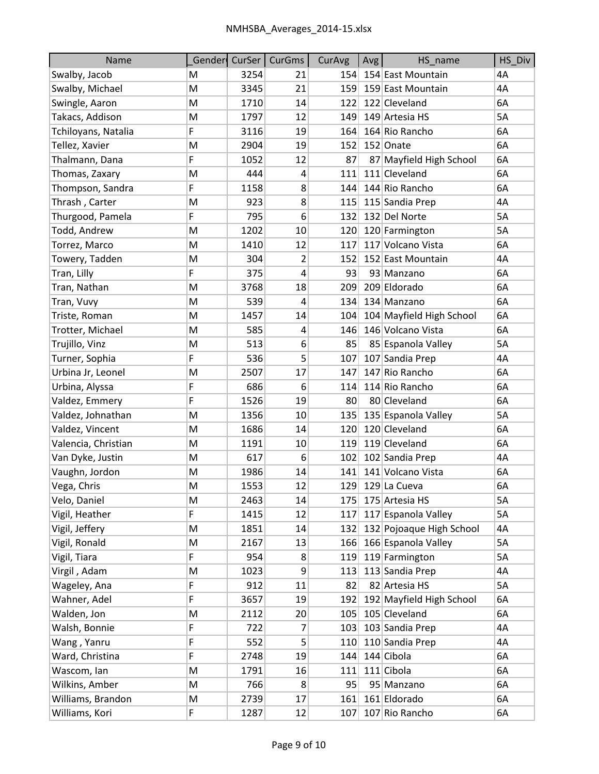| <b>Name</b>         | Gender | CurSer | <b>CurGms</b> | CurAvg | Avg | HS_name                  | HS_Div    |
|---------------------|--------|--------|---------------|--------|-----|--------------------------|-----------|
| Swalby, Jacob       | M      | 3254   | 21            | 154    |     | 154 East Mountain        | 4A        |
| Swalby, Michael     | M      | 3345   | 21            | 159    |     | 159 East Mountain        | 4A        |
| Swingle, Aaron      | M      | 1710   | 14            | 122    |     | 122 Cleveland            | 6A        |
| Takacs, Addison     | M      | 1797   | 12            | 149    |     | 149 Artesia HS           | 5A        |
| Tchiloyans, Natalia | F      | 3116   | 19            | 164    |     | 164 Rio Rancho           | 6A        |
| Tellez, Xavier      | M      | 2904   | 19            | 152    |     | 152 Onate                | 6A        |
| Thalmann, Dana      | F.     | 1052   | 12            | 87     |     | 87 Mayfield High School  | 6A        |
| Thomas, Zaxary      | M      | 444    | 4             | 111    |     | 111 Cleveland            | 6A        |
| Thompson, Sandra    | F      | 1158   | 8             | 144    |     | 144 Rio Rancho           | 6A        |
| Thrash, Carter      | M      | 923    | 8             | 115    |     | 115 Sandia Prep          | 4A        |
| Thurgood, Pamela    | F      | 795    | 6             | 132    |     | 132 Del Norte            | 5A        |
| Todd, Andrew        | M      | 1202   | 10            | 120    |     | 120 Farmington           | 5A        |
| Torrez, Marco       | M      | 1410   | 12            | 117    |     | 117 Volcano Vista        | 6A        |
| Towery, Tadden      | M      | 304    | 2             | 152    |     | 152 East Mountain        | 4A        |
| Tran, Lilly         | F      | 375    | 4             | 93     |     | 93 Manzano               | 6A        |
| Tran, Nathan        | M      | 3768   | 18            | 209    |     | 209 Eldorado             | 6A        |
| Tran, Vuvy          | M      | 539    | 4             | 134    |     | 134 Manzano              | 6A        |
| Triste, Roman       | M      | 1457   | 14            | 104    |     | 104 Mayfield High School | 6A        |
| Trotter, Michael    | М      | 585    | 4             | 146    |     | 146 Volcano Vista        | 6A        |
| Trujillo, Vinz      | M      | 513    | 6             | 85     |     | 85 Espanola Valley       | <b>5A</b> |
| Turner, Sophia      | F      | 536    | 5             | 107    |     | 107 Sandia Prep          | 4A        |
| Urbina Jr, Leonel   | M      | 2507   | 17            | 147    |     | 147 Rio Rancho           | 6A        |
| Urbina, Alyssa      | F      | 686    | 6             | 114    |     | 114 Rio Rancho           | 6A        |
| Valdez, Emmery      | F      | 1526   | 19            | 80     |     | 80 Cleveland             | 6A        |
| Valdez, Johnathan   | M      | 1356   | 10            | 135    |     | 135 Espanola Valley      | 5A        |
| Valdez, Vincent     | м      | 1686   | 14            | 120    |     | 120 Cleveland            | 6A        |
| Valencia, Christian | M      | 1191   | 10            | 119    |     | 119 Cleveland            | 6A        |
| Van Dyke, Justin    | M      | 617    | 6             | 102    |     | 102 Sandia Prep          | 4A        |
| Vaughn, Jordon      | M      | 1986   | 14            | 141    |     | 141 Volcano Vista        | 6A        |
| Vega, Chris         | M      | 1553   | 12            | 129    |     | 129 La Cueva             | 6A        |
| Velo, Daniel        | М      | 2463   | 14            | 175    |     | 175 Artesia HS           | 5A        |
| Vigil, Heather      | F      | 1415   | 12            | 117    |     | 117 Espanola Valley      | 5A        |
| Vigil, Jeffery      | M      | 1851   | 14            | 132    |     | 132 Pojoaque High School | 4A        |
| Vigil, Ronald       | M      | 2167   | 13            | 166    |     | 166 Espanola Valley      | 5A        |
| Vigil, Tiara        | F      | 954    | 8             | 119    |     | 119 Farmington           | 5A        |
| Virgil, Adam        | M      | 1023   | 9             | 113    |     | 113 Sandia Prep          | 4A        |
| Wageley, Ana        | F      | 912    | 11            | 82     |     | 82 Artesia HS            | 5A        |
| Wahner, Adel        | F.     | 3657   | 19            | 192    |     | 192 Mayfield High School | 6A        |
| Walden, Jon         | M      | 2112   | 20            | 105    |     | 105 Cleveland            | 6A        |
| Walsh, Bonnie       | F      | 722    | 7             | 103    |     | 103 Sandia Prep          | 4A        |
| Wang, Yanru         | F      | 552    | 5             | 110    |     | 110 Sandia Prep          | 4A        |
| Ward, Christina     | F      | 2748   | 19            | 144    |     | 144 Cibola               | 6A        |
| Wascom, lan         | М      | 1791   | 16            | 111    |     | 111 Cibola               | 6A        |
| Wilkins, Amber      | M      | 766    | 8             | 95     |     | 95 Manzano               | 6A        |
| Williams, Brandon   | M      | 2739   | 17            | 161    |     | 161 Eldorado             | 6A        |
| Williams, Kori      | F      | 1287   | 12            | 107    |     | 107 Rio Rancho           | 6A        |